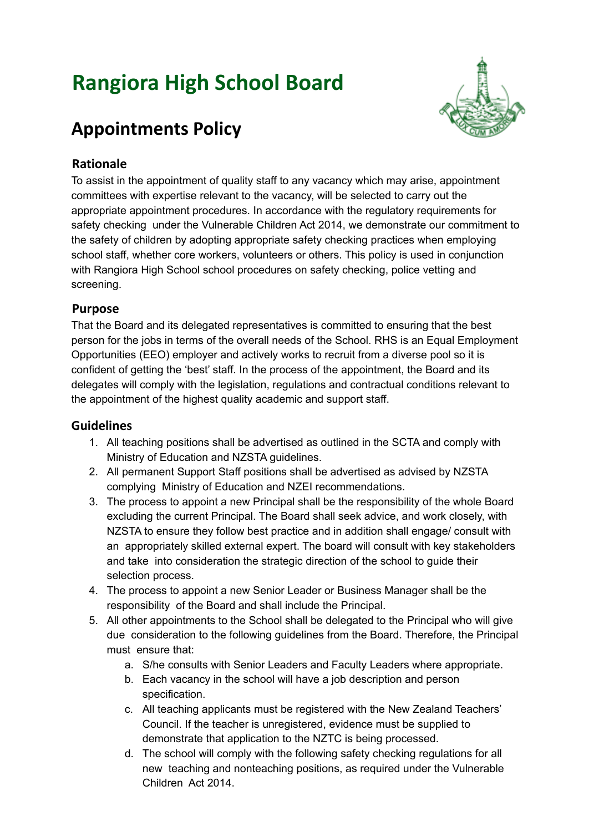# **Rangiora High School Board**



# **Appointments Policy**

# **Rationale**

To assist in the appointment of quality staff to any vacancy which may arise, appointment committees with expertise relevant to the vacancy, will be selected to carry out the appropriate appointment procedures. In accordance with the regulatory requirements for safety checking under the Vulnerable Children Act 2014, we demonstrate our commitment to the safety of children by adopting appropriate safety checking practices when employing school staff, whether core workers, volunteers or others. This policy is used in conjunction with Rangiora High School school procedures on safety checking, police vetting and screening.

#### **Purpose**

That the Board and its delegated representatives is committed to ensuring that the best person for the jobs in terms of the overall needs of the School. RHS is an Equal Employment Opportunities (EEO) employer and actively works to recruit from a diverse pool so it is confident of getting the 'best' staff. In the process of the appointment, the Board and its delegates will comply with the legislation, regulations and contractual conditions relevant to the appointment of the highest quality academic and support staff.

# **Guidelines**

- 1. All teaching positions shall be advertised as outlined in the SCTA and comply with Ministry of Education and NZSTA guidelines.
- 2. All permanent Support Staff positions shall be advertised as advised by NZSTA complying Ministry of Education and NZEI recommendations.
- 3. The process to appoint a new Principal shall be the responsibility of the whole Board excluding the current Principal. The Board shall seek advice, and work closely, with NZSTA to ensure they follow best practice and in addition shall engage/ consult with an appropriately skilled external expert. The board will consult with key stakeholders and take into consideration the strategic direction of the school to guide their selection process.
- 4. The process to appoint a new Senior Leader or Business Manager shall be the responsibility of the Board and shall include the Principal.
- 5. All other appointments to the School shall be delegated to the Principal who will give due consideration to the following guidelines from the Board. Therefore, the Principal must ensure that:
	- a. S/he consults with Senior Leaders and Faculty Leaders where appropriate.
	- b. Each vacancy in the school will have a job description and person specification.
	- c. All teaching applicants must be registered with the New Zealand Teachers' Council. If the teacher is unregistered, evidence must be supplied to demonstrate that application to the NZTC is being processed.
	- d. The school will comply with the following safety checking regulations for all new teaching and nonteaching positions, as required under the Vulnerable Children Act 2014.